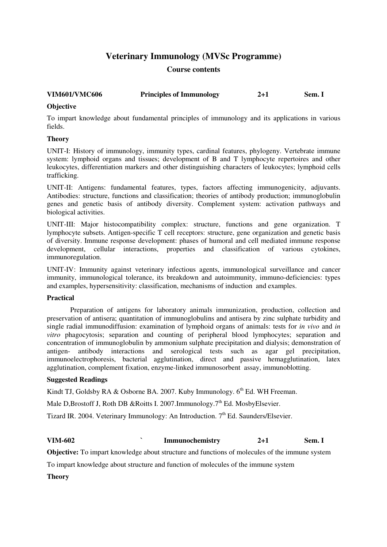# **Veterinary Immunology (MVSc Programme)**

## **Course contents**

| <b>VIM601/VMC606</b> | <b>Principles of Immunology</b> | $2 + 1$ | Sem. I |
|----------------------|---------------------------------|---------|--------|

## **Objective**

To impart knowledge about fundamental principles of immunology and its applications in various fields.

## **Theory**

UNIT-I: History of immunology, immunity types, cardinal features, phylogeny. Vertebrate immune system: lymphoid organs and tissues; development of B and T lymphocyte repertoires and other leukocytes, differentiation markers and other distinguishing characters of leukocytes; lymphoid cells trafficking.

UNIT-II: Antigens: fundamental features, types, factors affecting immunogenicity, adjuvants. Antibodies: structure, functions and classification; theories of antibody production; immunoglobulin genes and genetic basis of antibody diversity. Complement system: activation pathways and biological activities.

UNIT-III: Major histocompatibility complex: structure, functions and gene organization. T lymphocyte subsets. Antigen-specific T cell receptors: structure, gene organization and genetic basis of diversity. Immune response development: phases of humoral and cell mediated immune response development, cellular interactions, properties and classification of various cytokines, immunoregulation.

UNIT-IV: Immunity against veterinary infectious agents, immunological surveillance and cancer immunity, immunological tolerance, its breakdown and autoimmunity, immuno-deficiencies: types and examples, hypersensitivity: classification, mechanisms of induction and examples.

## **Practical**

Preparation of antigens for laboratory animals immunization, production, collection and preservation of antisera; quantitation of immunoglobulins and antisera by zinc sulphate turbidity and single radial immunodiffusion: examination of lymphoid organs of animals: tests for *in vivo* and *in vitro* phagocytosis; separation and counting of peripheral blood lymphocytes; separation and concentration of immunoglobulin by ammonium sulphate precipitation and dialysis; demonstration of antigen- antibody interactions and serological tests such as agar gel precipitation, immunoelectrophoresis, bacterial agglutination, direct and passive hemagglutination, latex agglutination, complement fixation, enzyme-linked immunosorbent assay, immunoblotting.

## **Suggested Readings**

Kindt TJ, Goldsby RA & Osborne BA. 2007. Kuby Immunology.  $6<sup>th</sup>$  Ed. WH Freeman.

Male D,Brostoff J, Roth DB &Roitts I. 2007.Immunology.7<sup>th</sup> Ed. MosbyElsevier.

Tizard IR. 2004. Veterinary Immunology: An Introduction. 7<sup>th</sup> Ed. Saunders/Elsevier.

## **VIM-602 ` Immunochemistry 2+1 Sem. I**

**Objective:** To impart knowledge about structure and functions of molecules of the immune system

To impart knowledge about structure and function of molecules of the immune system

**Theory**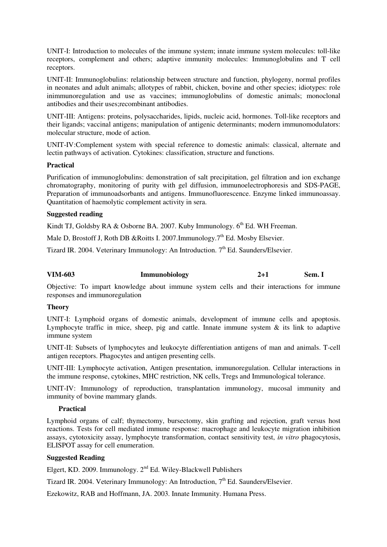UNIT-I: Introduction to molecules of the immune system; innate immune system molecules: toll-like receptors, complement and others; adaptive immunity molecules: Immunoglobulins and T cell receptors.

UNIT-II: Immunoglobulins: relationship between structure and function, phylogeny, normal profiles in neonates and adult animals; allotypes of rabbit, chicken, bovine and other species; idiotypes: role inimmunoregulation and use as vaccines; immunoglobulins of domestic animals; monoclonal antibodies and their uses;recombinant antibodies.

UNIT-III: Antigens: proteins, polysaccharides, lipids, nucleic acid, hormones. Toll-like receptors and their ligands; vaccinal antigens; manipulation of antigenic determinants; modern immunomodulators: molecular structure, mode of action.

UNIT-IV:Complement system with special reference to domestic animals: classical, alternate and lectin pathways of activation. Cytokines: classification, structure and functions.

### **Practical**

Purification of immunoglobulins: demonstration of salt precipitation, gel filtration and ion exchange chromatography, monitoring of purity with gel diffusion, immunoelectrophoresis and SDS-PAGE, Preparation of immunoadsorbants and antigens. Immunofluorescence. Enzyme linked immunoassay. Quantitation of haemolytic complement activity in sera.

### **Suggested reading**

Kindt TJ, Goldsby RA & Osborne BA. 2007. Kuby Immunology.  $6<sup>th</sup>$  Ed. WH Freeman.

Male D, Brostoff J, Roth DB &Roitts I. 2007. Immunology.  $7<sup>th</sup>$  Ed. Mosby Elsevier.

Tizard IR. 2004. Veterinary Immunology: An Introduction. 7<sup>th</sup> Ed. Saunders/Elsevier.

# **VIM-603 Immunobiology 2+1 Sem. I**

Objective: To impart knowledge about immune system cells and their interactions for immune responses and immunoregulation

#### **Theory**

UNIT-I: Lymphoid organs of domestic animals, development of immune cells and apoptosis. Lymphocyte traffic in mice, sheep, pig and cattle. Innate immune system  $\&$  its link to adaptive immune system

UNIT-II: Subsets of lymphocytes and leukocyte differentiation antigens of man and animals. T-cell antigen receptors. Phagocytes and antigen presenting cells.

UNIT-III: Lymphocyte activation, Antigen presentation, immunoregulation. Cellular interactions in the immune response, cytokines, MHC restriction, NK cells, Tregs and Immunological tolerance.

UNIT-IV: Immunology of reproduction, transplantation immunology, mucosal immunity and immunity of bovine mammary glands.

## **Practical**

Lymphoid organs of calf; thymectomy, bursectomy, skin grafting and rejection, graft versus host reactions. Tests for cell mediated immune response: macrophage and leukocyte migration inhibition assays, cytotoxicity assay, lymphocyte transformation, contact sensitivity test, *in vitro* phagocytosis, ELISPOT assay for cell enumeration.

### **Suggested Reading**

Elgert, KD. 2009. Immunology.  $2<sup>nd</sup>$  Ed. Wiley-Blackwell Publishers

Tizard IR. 2004. Veterinary Immunology: An Introduction, 7<sup>th</sup> Ed. Saunders/Elsevier.

Ezekowitz, RAB and Hoffmann, JA. 2003. Innate Immunity. Humana Press.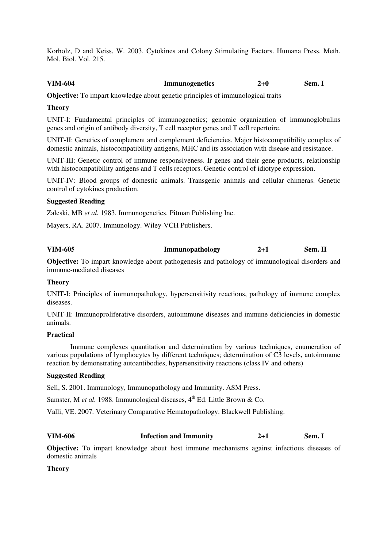Korholz, D and Keiss, W. 2003. Cytokines and Colony Stimulating Factors. Humana Press. Meth. Mol. Biol. Vol. 215.

## **VIM-604 Immunogenetics 2+0 Sem. I**

**Objective:** To impart knowledge about genetic principles of immunological traits

### **Theory**

UNIT-I: Fundamental principles of immunogenetics; genomic organization of immunoglobulins genes and origin of antibody diversity, T cell receptor genes and T cell repertoire.

UNIT-II: Genetics of complement and complement deficiencies. Major histocompatibility complex of domestic animals, histocompatibility antigens, MHC and its association with disease and resistance.

UNIT-III: Genetic control of immune responsiveness. Ir genes and their gene products, relationship with histocompatibility antigens and T cells receptors. Genetic control of idiotype expression.

UNIT-IV: Blood groups of domestic animals. Transgenic animals and cellular chimeras. Genetic control of cytokines production.

#### **Suggested Reading**

Zaleski, MB *et al.* 1983. Immunogenetics. Pitman Publishing Inc.

Mayers, RA. 2007. Immunology. Wiley-VCH Publishers.

## **VIM-605 Immunopathology 2+1 Sem. II**

**Objective:** To impart knowledge about pathogenesis and pathology of immunological disorders and immune-mediated diseases

#### **Theory**

UNIT-I: Principles of immunopathology, hypersensitivity reactions, pathology of immune complex diseases.

UNIT-II: Immunoproliferative disorders, autoimmune diseases and immune deficiencies in domestic animals.

#### **Practical**

Immune complexes quantitation and determination by various techniques, enumeration of various populations of lymphocytes by different techniques; determination of C3 levels, autoimmune reaction by demonstrating autoantibodies, hypersensitivity reactions (class IV and others)

## **Suggested Reading**

Sell, S. 2001. Immunology, Immunopathology and Immunity. ASM Press.

Samster, M *et al.* 1988. Immunological diseases, 4<sup>th</sup> Ed. Little Brown & Co.

Valli, VE. 2007. Veterinary Comparative Hematopathology. Blackwell Publishing.

## **VIM-606 Infection and Immunity 2+1 Sem. I**

**Objective:** To impart knowledge about host immune mechanisms against infectious diseases of domestic animals

**Theory**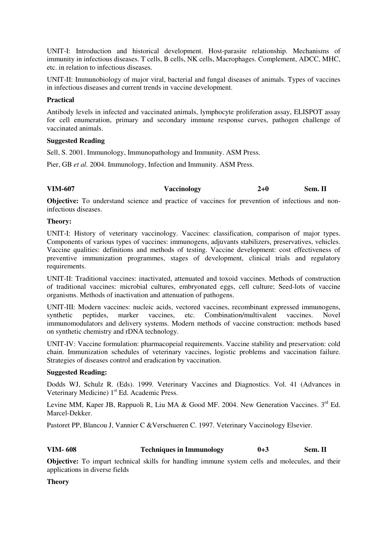UNIT-I: Introduction and historical development. Host-parasite relationship. Mechanisms of immunity in infectious diseases. T cells, B cells, NK cells, Macrophages. Complement, ADCC, MHC, etc. in relation to infectious diseases.

UNIT-II: Immunobiology of major viral, bacterial and fungal diseases of animals. Types of vaccines in infectious diseases and current trends in vaccine development.

## **Practical**

Antibody levels in infected and vaccinated animals, lymphocyte proliferation assay, ELISPOT assay for cell enumeration, primary and secondary immune response curves, pathogen challenge of vaccinated animals.

## **Suggested Reading**

Sell, S. 2001. Immunology, Immunopathology and Immunity. ASM Press.

Pier, GB *et al.* 2004. Immunology, Infection and Immunity. ASM Press.

## **VIM-607 Vaccinology 2+0 Sem. II**

**Objective:** To understand science and practice of vaccines for prevention of infectious and noninfectious diseases.

#### **Theory:**

UNIT-I: History of veterinary vaccinology. Vaccines: classification, comparison of major types. Components of various types of vaccines: immunogens, adjuvants stabilizers, preservatives, vehicles. Vaccine qualities: definitions and methods of testing. Vaccine development: cost effectiveness of preventive immunization programmes, stages of development, clinical trials and regulatory requirements.

UNIT-II: Traditional vaccines: inactivated, attenuated and toxoid vaccines. Methods of construction of traditional vaccines: microbial cultures, embryonated eggs, cell culture; Seed-lots of vaccine organisms. Methods of inactivation and attenuation of pathogens.

UNIT-III: Modern vaccines: nucleic acids, vectored vaccines, recombinant expressed immunogens, synthetic peptides, marker vaccines, etc. Combination/multivalent vaccines. Novel immunomodulators and delivery systems. Modern methods of vaccine construction: methods based on synthetic chemistry and rDNA technology.

UNIT-IV: Vaccine formulation: pharmacopeial requirements. Vaccine stability and preservation: cold chain. Immunization schedules of veterinary vaccines, logistic problems and vaccination failure. Strategies of diseases control and eradication by vaccination.

### **Suggested Reading:**

Dodds WJ, Schulz R. (Eds). 1999. Veterinary Vaccines and Diagnostics. Vol. 41 (Advances in Veterinary Medicine) 1<sup>st</sup> Ed. Academic Press.

Levine MM, Kaper JB, Rappuoli R, Liu MA & Good MF. 2004. New Generation Vaccines.  $3<sup>rd</sup>$  Ed. Marcel-Dekker.

Pastoret PP, Blancou J, Vannier C &Verschueren C. 1997. Veterinary Vaccinology Elsevier.

## **VIM- 608 Techniques in Immunology 0+3 Sem. II**

**Objective:** To impart technical skills for handling immune system cells and molecules, and their applications in diverse fields

**Theory**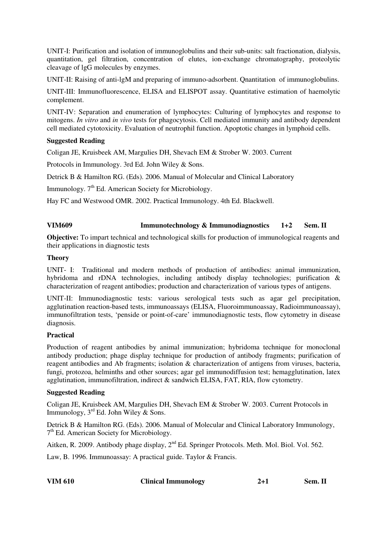UNIT-I: Purification and isolation of immunoglobulins and their sub-units: salt fractionation, dialysis, quantitation, gel filtration, concentration of elutes, ion-exchange chromatography, proteolytic cleavage of lgG molecules by enzymes.

UNIT-II: Raising of anti-lgM and preparing of immuno-adsorbent. Qnantitation of immunoglobulins.

UNIT-III: Immunofluorescence, ELISA and ELISPOT assay. Quantitative estimation of haemolytic complement.

UNIT-IV: Separation and enumeration of lymphocytes: Culturing of lymphocytes and response to mitogens. *In vitro* and *in vivo* tests for phagocytosis. Cell mediated immunity and antibody dependent cell mediated cytotoxicity. Evaluation of neutrophil function. Apoptotic changes in lymphoid cells.

## **Suggested Reading**

Coligan JE, Kruisbeek AM, Margulies DH, Shevach EM & Strober W. 2003. Current

Protocols in Immunology. 3rd Ed. John Wiley & Sons.

Detrick B & Hamilton RG. (Eds). 2006. Manual of Molecular and Clinical Laboratory

Immunology. 7<sup>th</sup> Ed. American Society for Microbiology.

Hay FC and Westwood OMR. 2002. Practical Immunology. 4th Ed. Blackwell.

## **VIM609 Immunotechnology & Immunodiagnostics 1+2 Sem. II**

**Objective:** To impart technical and technological skills for production of immunological reagents and their applications in diagnostic tests

## **Theory**

UNIT- I: Traditional and modern methods of production of antibodies: animal immunization, hybridoma and rDNA technologies, including antibody display technologies; purification & characterization of reagent antibodies; production and characterization of various types of antigens.

UNIT-II: Immunodiagnostic tests: various serological tests such as agar gel precipitation, agglutination reaction-based tests, immunoassays (ELISA, Fluoroimmunoassay, Radioimmunoassay), immunofiltration tests, 'penside or point-of-care' immunodiagnostic tests, flow cytometry in disease diagnosis.

## **Practical**

Production of reagent antibodies by animal immunization; hybridoma technique for monoclonal antibody production; phage display technique for production of antibody fragments; purification of reagent antibodies and Ab fragments; isolation & characterization of antigens from viruses, bacteria, fungi, protozoa, helminths and other sources; agar gel immunodiffusion test; hemagglutination, latex agglutination, immunofiltration, indirect & sandwich ELISA, FAT, RIA, flow cytometry.

## **Suggested Reading**

Coligan JE, Kruisbeek AM, Margulies DH, Shevach EM & Strober W. 2003. Current Protocols in Immunology,  $3^{rd}$  Ed. John Wiley & Sons.

Detrick B & Hamilton RG. (Eds). 2006. Manual of Molecular and Clinical Laboratory Immunology, 7<sup>th</sup> Ed. American Society for Microbiology.

Aitken, R. 2009. Antibody phage display,  $2<sup>nd</sup>$  Ed. Springer Protocols. Meth. Mol. Biol. Vol. 562.

Law, B. 1996. Immunoassay: A practical guide. Taylor & Francis.

| <b>VIM 610</b> | <b>Clinical Immunology</b> |  | Sem. II |
|----------------|----------------------------|--|---------|
|----------------|----------------------------|--|---------|